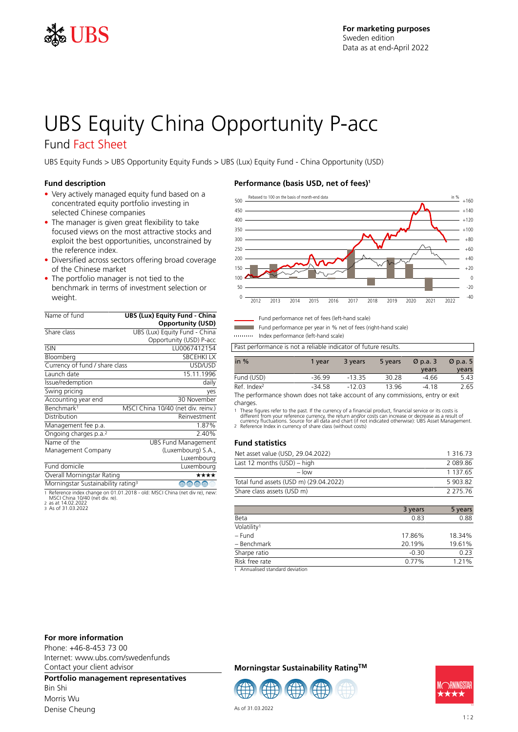

# UBS Equity China Opportunity P-acc

# Fund Fact Sheet

UBS Equity Funds > UBS Opportunity Equity Funds > UBS (Lux) Equity Fund - China Opportunity (USD)

### **Fund description**

- Very actively managed equity fund based on a concentrated equity portfolio investing in selected Chinese companies
- The manager is given great flexibility to take focused views on the most attractive stocks and exploit the best opportunities, unconstrained by the reference index.
- Diversified across sectors offering broad coverage of the Chinese market
- The portfolio manager is not tied to the benchmark in terms of investment selection or weight.

| Name of fund                                   | <b>UBS (Lux) Equity Fund - China</b> |
|------------------------------------------------|--------------------------------------|
|                                                | <b>Opportunity (USD)</b>             |
| Share class                                    | UBS (Lux) Equity Fund - China        |
|                                                | Opportunity (USD) P-acc              |
| <b>ISIN</b>                                    | IU0067412154                         |
| Bloomberg                                      | <b>SBCEHKILX</b>                     |
| Currency of fund / share class                 | USD/USD                              |
| Launch date                                    | 15.11.1996                           |
| Issue/redemption                               | daily                                |
| Swing pricing                                  | yes                                  |
| Accounting year end                            | 30 November                          |
| Benchmark <sup>1</sup>                         | MSCI China 10/40 (net div. reinv.)   |
| Distribution                                   | Reinvestment                         |
| Management fee p.a.                            | 1.87%                                |
| Ongoing charges p.a. <sup>2</sup>              | 2.40%                                |
| Name of the                                    | <b>UBS Fund Management</b>           |
| Management Company                             | (Luxembourg) S.A.,                   |
|                                                | Luxembourg                           |
| Fund domicile                                  | Luxembourg                           |
| Overall Morningstar Rating                     | ★★★★                                 |
| Morningstar Sustainability rating <sup>3</sup> | ⊕<br>⊕<br>⊕                          |

1 Reference index change on 01.01.2018 - old: MSCI China (net div re), new: MSCI China 10/40 (net div. re). 2 as at 14.02.2022 3 As of 31.03.2022

# **Performance (basis USD, net of fees)<sup>1</sup>**



Fund performance net of fees (left-hand scale)

Fund performance per year in % net of fees (right-hand scale)

Index performance (left-hand scale)

Past performance is not a reliable indicator of future results.

| in $%$                                                                                                     | 1 vear   | 3 years  | 5 years | $\varnothing$ p.a. 3 | $\varnothing$ p.a. 5 |
|------------------------------------------------------------------------------------------------------------|----------|----------|---------|----------------------|----------------------|
|                                                                                                            |          |          |         | years                | years                |
| Fund (USD)                                                                                                 | $-36.99$ | $-13.35$ | 30.28   | $-4.66$              | 5.43                 |
| Ref. Index <sup>2</sup>                                                                                    | -34 58   | -12.03   | 1396    | -4.18                | 2.65                 |
| المؤرد والمستحقق والمستحقق والمستحدث والمستحدث والمستحدث والمستحدث والمستحدث والمستحدث والمستحقق والمستحدث |          |          |         |                      |                      |

The performance shown does not take account of any commissions, entry or exit charges.

1 These figures refer to the past. If the currency of a financial product, financial service or its costs is<br>different from your reference currency, the return and/or costs can increase or decrease as a result of<br>currency

# **Fund statistics**

| Net asset value (USD, 29.04.2022)      | 1 3 1 6 7 3   |
|----------------------------------------|---------------|
| Last 12 months (USD) – high            | 2089.86       |
| $-$ low                                | 1 1 3 7 . 6 5 |
| Total fund assets (USD m) (29.04.2022) | 5903.82       |
| Share class assets (USD m)             | 2 2 7 5 7 6   |

|                                                                                                                 | 3 years | 5 years |
|-----------------------------------------------------------------------------------------------------------------|---------|---------|
| Beta                                                                                                            | 0.83    | 0.88    |
| Volatility <sup>1</sup>                                                                                         |         |         |
| – Fund                                                                                                          | 17.86%  | 18.34%  |
| - Benchmark                                                                                                     | 20.19%  | 19.61%  |
| Sharpe ratio                                                                                                    | $-0.30$ | 0.23    |
| Risk free rate                                                                                                  | 0.77%   | 1.21%   |
| the contract of the contract of the contract of the contract of the contract of the contract of the contract of |         |         |

1 Annualised standard deviation

#### **For more information**

Phone: +46-8-453 73 00 Internet: www.ubs.com/swedenfunds Contact your client advisor

**Portfolio management representatives** Bin Shi Morris Wu Denise Cheung

# **Morningstar Sustainability RatingTM**





As of 31.03.2022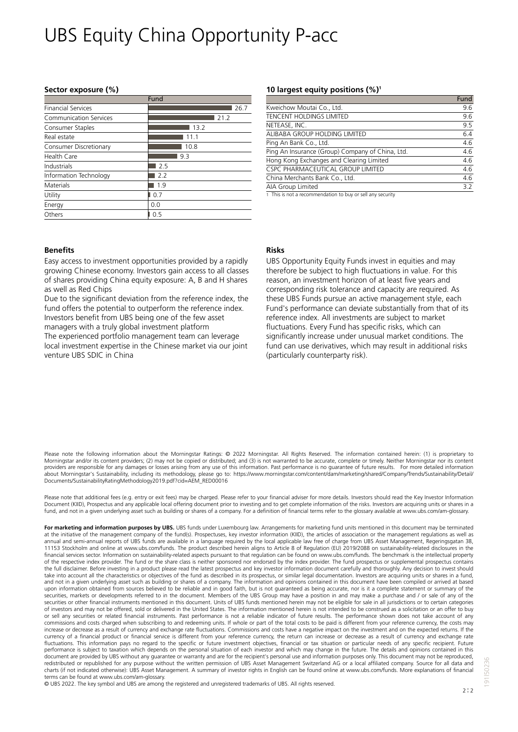# UBS Equity China Opportunity P-acc

#### **Sector exposure (%)**

|                           | Fund |
|---------------------------|------|
| <b>Financial Services</b> | 26.7 |
| Communication Services    | 21.2 |
| Consumer Staples          | 13.2 |
| Real estate               | 11.1 |
| Consumer Discretionary    | 10.8 |
| Health Care               | 9.3  |
| Industrials               | 2.5  |
| Information Technology    | 2.2  |
| <b>Materials</b>          | 1.9  |
| Utility                   | 0.7  |
| Energy                    | 0.0  |
| Others                    | 0.5  |

#### **10 largest equity positions (%)<sup>1</sup>**

|                                                  | Fund |
|--------------------------------------------------|------|
| Kweichow Moutai Co., Ltd.                        | 9.6  |
| <b>TENCENT HOLDINGS LIMITED</b>                  | 9.6  |
| NETEASE, INC.                                    | 9.5  |
| ALIBABA GROUP HOLDING LIMITED                    | 6.4  |
| Ping An Bank Co., Ltd.                           | 4.6  |
| Ping An Insurance (Group) Company of China, Ltd. | 4.6  |
| Hong Kong Exchanges and Clearing Limited         | 4.6  |
| CSPC PHARMACEUTICAL GROUP LIMITED                | 4.6  |
| China Merchants Bank Co., Ltd.                   | 4.6  |
| AIA Group Limited                                | 3.2  |
|                                                  |      |

1 This is not a recommendation to buy or sell any security

#### **Benefits**

Easy access to investment opportunities provided by a rapidly growing Chinese economy. Investors gain access to all classes of shares providing China equity exposure: A, B and H shares as well as Red Chips

Due to the significant deviation from the reference index, the fund offers the potential to outperform the reference index. Investors benefit from UBS being one of the few asset managers with a truly global investment platform

The experienced portfolio management team can leverage local investment expertise in the Chinese market via our joint venture UBS SDIC in China

#### **Risks**

UBS Opportunity Equity Funds invest in equities and may therefore be subject to high fluctuations in value. For this reason, an investment horizon of at least five years and corresponding risk tolerance and capacity are required. As these UBS Funds pursue an active management style, each Fund's performance can deviate substantially from that of its reference index. All investments are subject to market fluctuations. Every Fund has specific risks, which can significantly increase under unusual market conditions. The fund can use derivatives, which may result in additional risks (particularly counterparty risk).

Please note the following information about the Morningstar Ratings: @ 2022 Morningstar. All Rights Reserved. The information contained herein: (1) is proprietary to Morningstar and/or its content providers; (2) may not be copied or distributed; and (3) is not warranted to be accurate, complete or timely. Neither Morningstar nor its content providers are responsible for any damages or losses arising from any use of this information. Past performance is no guarantee of future results. For more detailed information about Morningstar's Sustainability, including its methodology, please go to: https://www.morningstar.com/content/dam/marketing/shared/Company/Trends/Sustainability/Detail<br>Documents/SustainabilityRatingMethodology2019.pdf?c

Please note that additional fees (e.g. entry or exit fees) may be charged. Please refer to your financial adviser for more details. Investors should read the Key Investor Information Document (KIID), Prospectus and any applicable local offering document prior to investing and to get complete information of the risks. Investors are acquiring units or shares in a fund, and not in a given underlying asset such as building or shares of a company. For a definition of financial terms refer to the glossary available at www.ubs.com/am-glossary.

For marketing and information purposes by UBS. UBS funds under Luxembourg law. Arrangements for marketing fund units mentioned in this document may be terminated at the initiative of the management company of the fund(s). Prospectuses, key investor information (KIID), the articles of association or the management regulations as well as annual and semi-annual reports of UBS funds are available in a language required by the local applicable law free of charge from UBS Asset Management, Regeringsgatan 38, 11153 Stockholm and online at www.ubs.com/funds. The product described herein aligns to Article 8 of Regulation (EU) 2019/2088 on sustainability-related disclosures in the financial services sector. Information on sustainability-related aspects pursuant to that regulation can be found on www.ubs.com/funds. The benchmark is the intellectual property of the respective index provider. The fund or the share class is neither sponsored nor endorsed by the index provider. The fund prospectus or supplemental prospectus contains the full disclaimer. Before investing in a product please read the latest prospectus and key investor information document carefully and thoroughly. Any decision to invest should take into account all the characteristics or objectives of the fund as described in its prospectus, or similar legal documentation. Investors are acquiring units or shares in a fund, and not in a given underlying asset such as building or shares of a company. The information and opinions contained in this document have been compiled or arrived at based upon information obtained from sources believed to be reliable and in good faith, but is not guaranteed as being accurate, nor is it a complete statement or summary of the<br>securities, markets or developments referred to in securities or other financial instruments mentioned in this document. Units of UBS funds mentioned herein may not be eligible for sale in all jurisdictions or to certain categories of investors and may not be offered, sold or delivered in the United States. The information mentioned herein is not intended to be construed as a solicitation or an offer to buy or sell any securities or related financial instruments. Past performance is not a reliable indicator of future results. The performance shown does not take account of any commissions and costs charged when subscribing to and redeeming units. If whole or part of the total costs to be paid is different from your reference currency, the costs may increase or decrease as a result of currency and exchange rate fluctuations. Commissions and costs have a negative impact on the investment and on the expected returns. If the currency of a financial product or financial service is different from your reference currency, the return can increase or decrease as a result of currency and exchange rate fluctuations. This information pays no regard to the specific or future investment objectives, financial or tax situation or particular needs of any specific recipient. Future performance is subject to taxation which depends on the personal situation of each investor and which may change in the future. The details and opinions contained in this document are provided by UBS without any guarantee or warranty and are for the recipient's personal use and information purposes only. This document may not be reproduced, redistributed or republished for any purpose without the written permission of UBS Asset Management Switzerland AG or a local affiliated company. Source for all charts (if not indicated otherwise): UBS Asset Management. A summary of investor rights in English can be found online at www.ubs.com/funds. More explanations of financial terms can be found at www.ubs.com/am-glossary.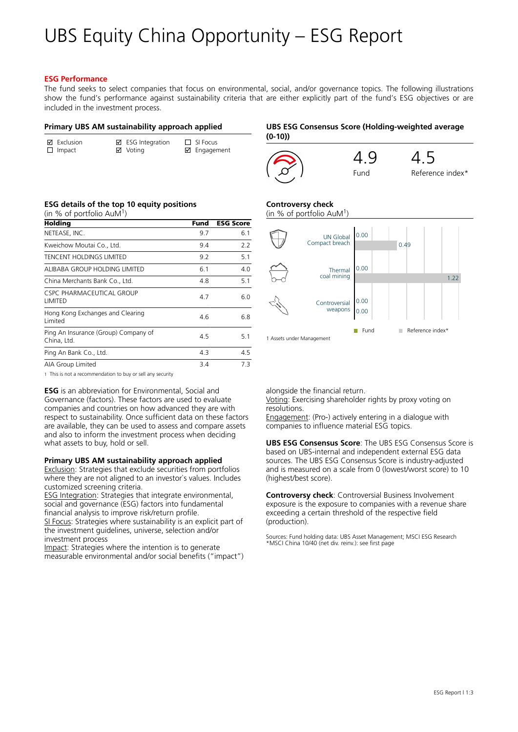# UBS Equity China Opportunity – ESG Report

#### **ESG Performance**

The fund seeks to select companies that focus on environmental, social, and/or governance topics. The following illustrations show the fund's performance against sustainability criteria that are either explicitly part of the fund's ESG objectives or are included in the investment process.

#### **Primary UBS AM sustainability approach applied**

| $\boxtimes$ Fxclusion | $\boxtimes$ ESG Integration | $\Box$ SI Focus |
|-----------------------|-----------------------------|-----------------|
| $\Box$ Impact         | ☑ Voting                    | ☑ Engagement    |

# **UBS ESG Consensus Score (Holding-weighted average (0-10))**



#### **ESG details of the top 10 equity positions**

| (in % of portfolio AuM <sup>1</sup> )               |      |                  |
|-----------------------------------------------------|------|------------------|
| Holding                                             | Fund | <b>ESG Score</b> |
| NETEASE, INC.                                       | 9.7  | 6.1              |
| Kweichow Moutai Co., Ltd.                           | 9.4  | 2.2              |
| TENCENT HOLDINGS LIMITED                            | 9.2  | 5.1              |
| ALIBABA GROUP HOLDING LIMITED                       | 6.1  | 4.0              |
| China Merchants Bank Co., Ltd.                      | 4.8  | 5.1              |
| CSPC PHARMACFUTICAL GROUP<br>LIMITED                | 4.7  | 6.0              |
| Hong Kong Exchanges and Clearing<br>I imited        | 4.6  | 6.8              |
| Ping An Insurance (Group) Company of<br>China, Ltd. | 4.5  | 5.1              |
| Ping An Bank Co., Ltd.                              | 4.3  | 4.5              |
| AIA Group Limited                                   | 3.4  | 7.3              |

1 This is not a recommendation to buy or sell any security

**ESG** is an abbreviation for Environmental, Social and Governance (factors). These factors are used to evaluate companies and countries on how advanced they are with respect to sustainability. Once sufficient data on these factors are available, they can be used to assess and compare assets and also to inform the investment process when deciding what assets to buy, hold or sell.

#### **Primary UBS AM sustainability approach applied**

Exclusion: Strategies that exclude securities from portfolios where they are not aligned to an investor`s values. Includes customized screening criteria.

ESG Integration: Strategies that integrate environmental, social and governance (ESG) factors into fundamental financial analysis to improve risk/return profile.

SI Focus: Strategies where sustainability is an explicit part of the investment guidelines, universe, selection and/or investment process

Impact: Strategies where the intention is to generate measurable environmental and/or social benefits ("impact")

# **Controversy check**

(in % of portfolio AuM<sup>1</sup> )



alongside the financial return.

Voting: Exercising shareholder rights by proxy voting on resolutions.

Engagement: (Pro-) actively entering in a dialogue with companies to influence material ESG topics.

**UBS ESG Consensus Score**: The UBS ESG Consensus Score is based on UBS-internal and independent external ESG data sources. The UBS ESG Consensus Score is industry-adjusted and is measured on a scale from 0 (lowest/worst score) to 10 (highest/best score).

**Controversy check**: Controversial Business Involvement exposure is the exposure to companies with a revenue share exceeding a certain threshold of the respective field (production).

Sources: Fund holding data: UBS Asset Management; MSCI ESG Research \*MSCI China 10/40 (net div. reinv.): see first page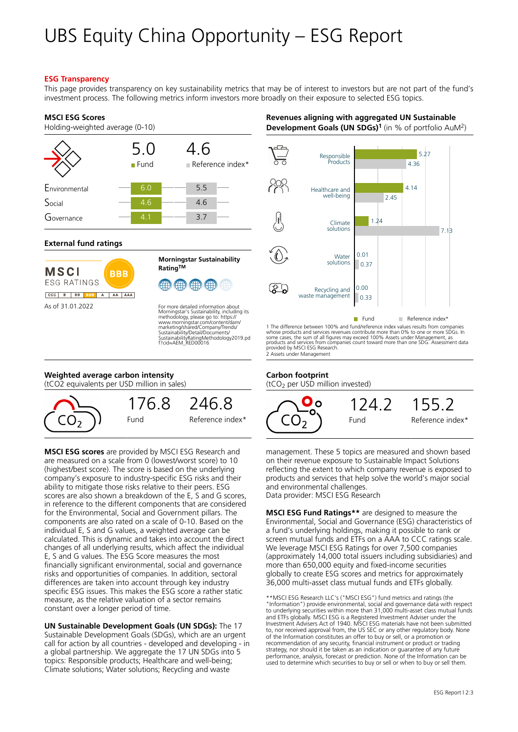# UBS Equity China Opportunity – ESG Report

### **ESG Transparency**

This page provides transparency on key sustainability metrics that may be of interest to investors but are not part of the fund's investment process. The following metrics inform investors more broadly on their exposure to selected ESG topics.

### **MSCI ESG Scores**

Holding-weighted average (0-10)

|               | 5.0<br>Fund | 4.6<br>Reference index* |
|---------------|-------------|-------------------------|
| Environmental | 6.0         | 5.5                     |
| Social        | 4.6         | 4.6                     |
| overnance     | 4.1         | 3.7                     |

### **External fund ratings**

| MSCI<br><b>FSG RATINGS</b> |                |        |   | BBB |     |
|----------------------------|----------------|--------|---|-----|-----|
| ccc                        | $\overline{B}$ | BB BBB | A | AA  | AAA |
| As of 31 01 2022           |                |        |   |     |     |



For more detailed information about<br>Morningstar's Sustainability, including its<br>methodology, please go to: https://<br>www.morningstar.com/content/dam/<br>marketing/shared/Company/Trends/<br>Sustainability/Detail/Documents/<br>Sustain

# **Weighted average carbon intensity**

(tCO2 equivalents per USD million in sales)



**MSCI ESG scores** are provided by MSCI ESG Research and are measured on a scale from 0 (lowest/worst score) to 10 (highest/best score). The score is based on the underlying company's exposure to industry-specific ESG risks and their ability to mitigate those risks relative to their peers. ESG scores are also shown a breakdown of the E, S and G scores, in reference to the different components that are considered for the Environmental, Social and Government pillars. The components are also rated on a scale of 0-10. Based on the individual E, S and G values, a weighted average can be calculated. This is dynamic and takes into account the direct changes of all underlying results, which affect the individual E, S and G values. The ESG Score measures the most financially significant environmental, social and governance risks and opportunities of companies. In addition, sectoral differences are taken into account through key industry specific ESG issues. This makes the ESG score a rather static measure, as the relative valuation of a sector remains constant over a longer period of time.

**UN Sustainable Development Goals (UN SDGs):** The 17 Sustainable Development Goals (SDGs), which are an urgent call for action by all countries - developed and developing - in a global partnership. We aggregate the 17 UN SDGs into 5 topics: Responsible products; Healthcare and well-being; Climate solutions; Water solutions; Recycling and waste

# **Revenues aligning with aggregated UN Sustainable Development Goals (UN SDGs)<sup>1</sup>** (in % of portfolio AuM<sup>2</sup> )



1 The difference between 100% and fund/reference index values results from companies<br>whose products and services revenues contribute more than 0% to one or more SDGs. In<br>some cases, the sum of all figures may exceed 100% A products and services from companies count toward more than one SDG. Assessment data provided by MSCI ESG Research. 2 Assets under Management

# **Carbon footprint**

(tCO2 per USD million invested)



management. These 5 topics are measured and shown based on their revenue exposure to Sustainable Impact Solutions reflecting the extent to which company revenue is exposed to products and services that help solve the world's major social and environmental challenges. Data provider: MSCI ESG Research

**MSCI ESG Fund Ratings\*\*** are designed to measure the Environmental, Social and Governance (ESG) characteristics of a fund's underlying holdings, making it possible to rank or screen mutual funds and ETFs on a AAA to CCC ratings scale. We leverage MSCI ESG Ratings for over 7,500 companies (approximately 14,000 total issuers including subsidiaries) and more than 650,000 equity and fixed-income securities globally to create ESG scores and metrics for approximately 36,000 multi-asset class mutual funds and ETFs globally.

\*\*MSCI ESG Research LLC's ("MSCI ESG") fund metrics and ratings (the "Information") provide environmental, social and governance data with respect to underlying securities within more than 31,000 multi-asset class mutual funds and ETFs globally. MSCI ESG is a Registered Investment Adviser under the Investment Advisers Act of 1940. MSCI ESG materials have not been submitted<br>to, nor received approval from, the US SEC or any other regulatory body. None<br>of the Information constitutes an offer to buy or sell, or a promoti recommendation of any security, financial instrument or product or trading strategy, nor should it be taken as an indication or guarantee of any future performance, analysis, forecast or prediction. None of the Information can be used to determine which securities to buy or sell or when to buy or sell them.